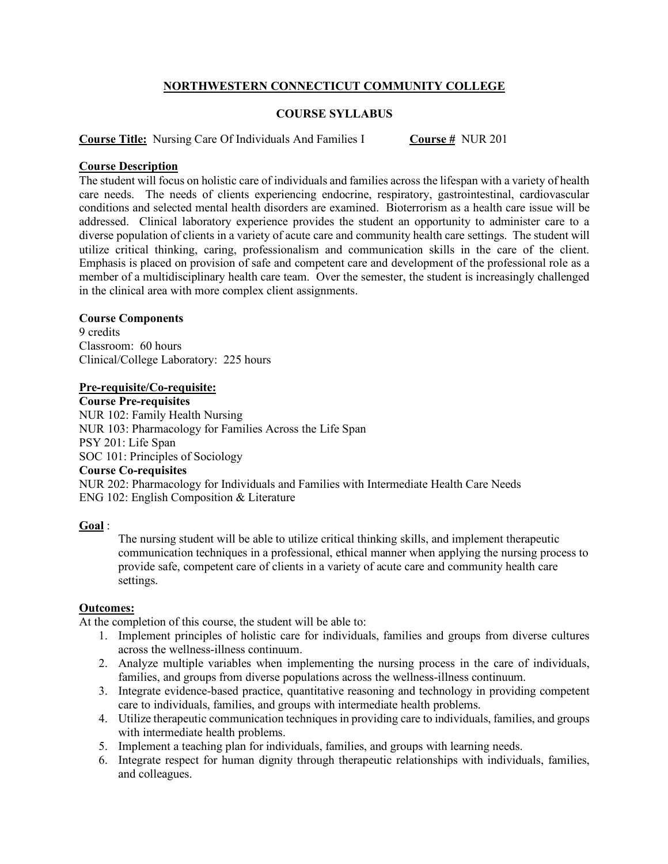# **NORTHWESTERN CONNECTICUT COMMUNITY COLLEGE**

# **COURSE SYLLABUS**

**Course Title:** Nursing Care Of Individuals And Families I **Course #** NUR 201

## **Course Description**

The student will focus on holistic care of individuals and families across the lifespan with a variety of health care needs. The needs of clients experiencing endocrine, respiratory, gastrointestinal, cardiovascular conditions and selected mental health disorders are examined. Bioterrorism as a health care issue will be addressed. Clinical laboratory experience provides the student an opportunity to administer care to a diverse population of clients in a variety of acute care and community health care settings. The student will utilize critical thinking, caring, professionalism and communication skills in the care of the client. Emphasis is placed on provision of safe and competent care and development of the professional role as a member of a multidisciplinary health care team. Over the semester, the student is increasingly challenged in the clinical area with more complex client assignments.

### **Course Components**

9 credits Classroom: 60 hours Clinical/College Laboratory: 225 hours

#### **Pre-requisite/Co-requisite:**

**Course Pre-requisites** NUR 102: Family Health Nursing NUR 103: Pharmacology for Families Across the Life Span PSY 201: Life Span SOC 101: Principles of Sociology **Course Co-requisites**

NUR 202: Pharmacology for Individuals and Families with Intermediate Health Care Needs ENG 102: English Composition & Literature

### **Goal** :

The nursing student will be able to utilize critical thinking skills, and implement therapeutic communication techniques in a professional, ethical manner when applying the nursing process to provide safe, competent care of clients in a variety of acute care and community health care settings.

### **Outcomes:**

At the completion of this course, the student will be able to:

- 1. Implement principles of holistic care for individuals, families and groups from diverse cultures across the wellness-illness continuum.
- 2. Analyze multiple variables when implementing the nursing process in the care of individuals, families, and groups from diverse populations across the wellness-illness continuum.
- 3. Integrate evidence-based practice, quantitative reasoning and technology in providing competent care to individuals, families, and groups with intermediate health problems.
- 4. Utilize therapeutic communication techniques in providing care to individuals, families, and groups with intermediate health problems.
- 5. Implement a teaching plan for individuals, families, and groups with learning needs.
- 6. Integrate respect for human dignity through therapeutic relationships with individuals, families, and colleagues.